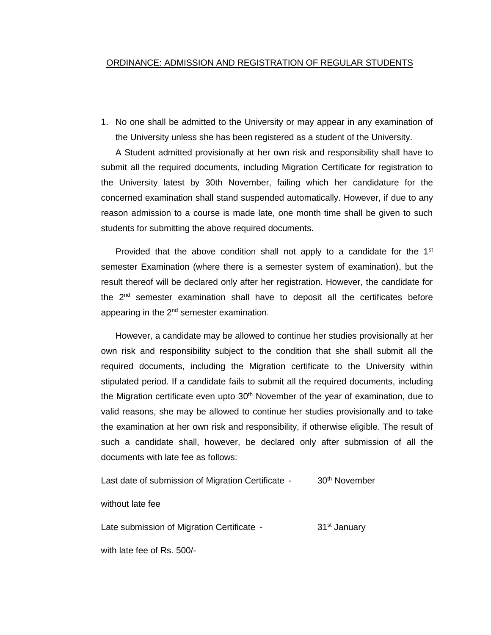#### ORDINANCE: ADMISSION AND REGISTRATION OF REGULAR STUDENTS

1. No one shall be admitted to the University or may appear in any examination of the University unless she has been registered as a student of the University.

A Student admitted provisionally at her own risk and responsibility shall have to submit all the required documents, including Migration Certificate for registration to the University latest by 30th November, failing which her candidature for the concerned examination shall stand suspended automatically. However, if due to any reason admission to a course is made late, one month time shall be given to such students for submitting the above required documents.

Provided that the above condition shall not apply to a candidate for the  $1<sup>st</sup>$ semester Examination (where there is a semester system of examination), but the result thereof will be declared only after her registration. However, the candidate for the  $2<sup>nd</sup>$  semester examination shall have to deposit all the certificates before appearing in the  $2^{nd}$  semester examination.

However, a candidate may be allowed to continue her studies provisionally at her own risk and responsibility subject to the condition that she shall submit all the required documents, including the Migration certificate to the University within stipulated period. If a candidate fails to submit all the required documents, including the Migration certificate even upto 30<sup>th</sup> November of the year of examination, due to valid reasons, she may be allowed to continue her studies provisionally and to take the examination at her own risk and responsibility, if otherwise eligible. The result of such a candidate shall, however, be declared only after submission of all the documents with late fee as follows:

Last date of submission of Migration Certificate - 30<sup>th</sup> November

without late fee

Late submission of Migration Certificate - 31<sup>st</sup> January

with late fee of Rs. 500/-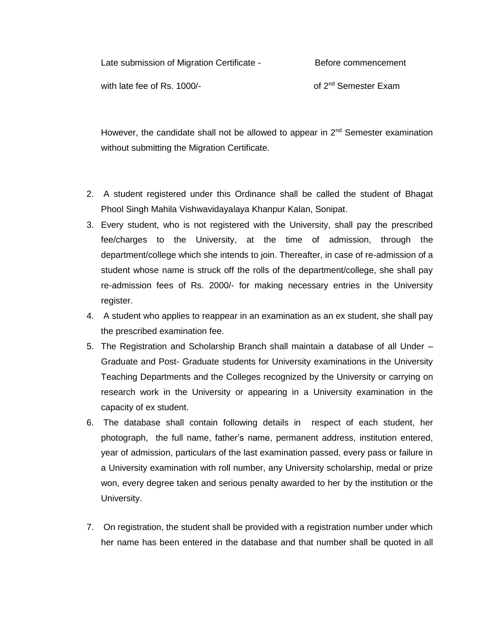| Late submission of Migration Certificate - | Before commencement              |
|--------------------------------------------|----------------------------------|
| with late fee of Rs. 1000/-                | of 2 <sup>nd</sup> Semester Exam |

However, the candidate shall not be allowed to appear in 2<sup>nd</sup> Semester examination without submitting the Migration Certificate.

- 2. A student registered under this Ordinance shall be called the student of Bhagat Phool Singh Mahila Vishwavidayalaya Khanpur Kalan, Sonipat.
- 3. Every student, who is not registered with the University, shall pay the prescribed fee/charges to the University, at the time of admission, through the department/college which she intends to join. Thereafter, in case of re-admission of a student whose name is struck off the rolls of the department/college, she shall pay re-admission fees of Rs. 2000/- for making necessary entries in the University register.
- 4. A student who applies to reappear in an examination as an ex student, she shall pay the prescribed examination fee.
- 5. The Registration and Scholarship Branch shall maintain a database of all Under Graduate and Post- Graduate students for University examinations in the University Teaching Departments and the Colleges recognized by the University or carrying on research work in the University or appearing in a University examination in the capacity of ex student.
- 6. The database shall contain following details in respect of each student, her photograph, the full name, father's name, permanent address, institution entered, year of admission, particulars of the last examination passed, every pass or failure in a University examination with roll number, any University scholarship, medal or prize won, every degree taken and serious penalty awarded to her by the institution or the University.
- 7. On registration, the student shall be provided with a registration number under which her name has been entered in the database and that number shall be quoted in all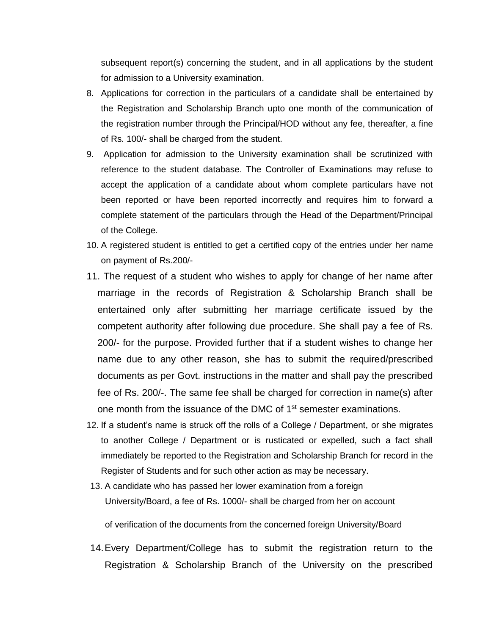subsequent report(s) concerning the student, and in all applications by the student for admission to a University examination.

- 8. Applications for correction in the particulars of a candidate shall be entertained by the Registration and Scholarship Branch upto one month of the communication of the registration number through the Principal/HOD without any fee, thereafter, a fine of Rs. 100/- shall be charged from the student.
- 9. Application for admission to the University examination shall be scrutinized with reference to the student database. The Controller of Examinations may refuse to accept the application of a candidate about whom complete particulars have not been reported or have been reported incorrectly and requires him to forward a complete statement of the particulars through the Head of the Department/Principal of the College.
- 10. A registered student is entitled to get a certified copy of the entries under her name on payment of Rs.200/-
- 11. The request of a student who wishes to apply for change of her name after marriage in the records of Registration & Scholarship Branch shall be entertained only after submitting her marriage certificate issued by the competent authority after following due procedure. She shall pay a fee of Rs. 200/- for the purpose. Provided further that if a student wishes to change her name due to any other reason, she has to submit the required/prescribed documents as per Govt. instructions in the matter and shall pay the prescribed fee of Rs. 200/-. The same fee shall be charged for correction in name(s) after one month from the issuance of the DMC of 1<sup>st</sup> semester examinations.
- 12. If a student's name is struck off the rolls of a College / Department, or she migrates to another College / Department or is rusticated or expelled, such a fact shall immediately be reported to the Registration and Scholarship Branch for record in the Register of Students and for such other action as may be necessary.
- 13. A candidate who has passed her lower examination from a foreign University/Board, a fee of Rs. 1000/- shall be charged from her on account

of verification of the documents from the concerned foreign University/Board

14.Every Department/College has to submit the registration return to the Registration & Scholarship Branch of the University on the prescribed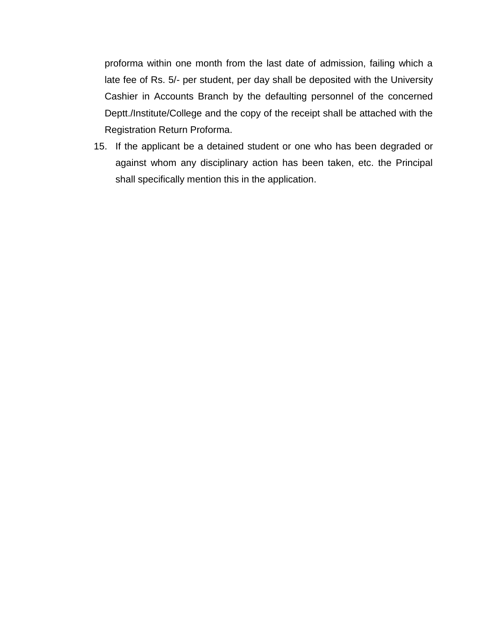proforma within one month from the last date of admission, failing which a late fee of Rs. 5/- per student, per day shall be deposited with the University Cashier in Accounts Branch by the defaulting personnel of the concerned Deptt./Institute/College and the copy of the receipt shall be attached with the Registration Return Proforma.

15. If the applicant be a detained student or one who has been degraded or against whom any disciplinary action has been taken, etc. the Principal shall specifically mention this in the application.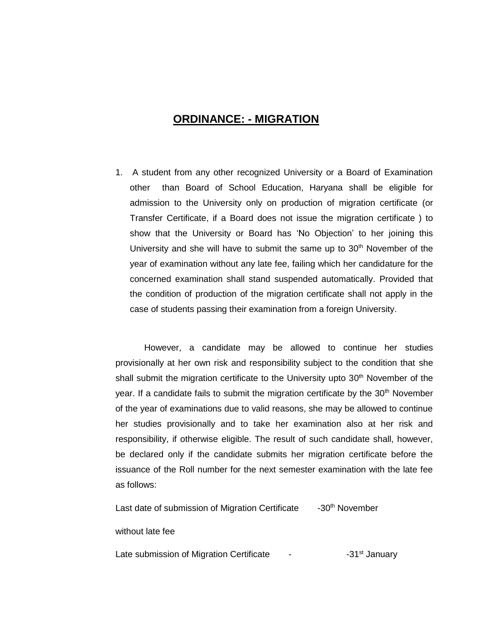## **ORDINANCE: - MIGRATION**

1. A student from any other recognized University or a Board of Examination other than Board of School Education, Haryana shall be eligible for admission to the University only on production of migration certificate (or Transfer Certificate, if a Board does not issue the migration certificate ) to show that the University or Board has 'No Objection' to her joining this University and she will have to submit the same up to  $30<sup>th</sup>$  November of the year of examination without any late fee, failing which her candidature for the concerned examination shall stand suspended automatically. Provided that the condition of production of the migration certificate shall not apply in the case of students passing their examination from a foreign University.

However, a candidate may be allowed to continue her studies provisionally at her own risk and responsibility subject to the condition that she shall submit the migration certificate to the University upto 30<sup>th</sup> November of the year. If a candidate fails to submit the migration certificate by the  $30<sup>th</sup>$  November of the year of examinations due to valid reasons, she may be allowed to continue her studies provisionally and to take her examination also at her risk and responsibility, if otherwise eligible. The result of such candidate shall, however, be declared only if the candidate submits her migration certificate before the issuance of the Roll number for the next semester examination with the late fee as follows:

Last date of submission of Migration Certificate -30<sup>th</sup> November

without late fee

Late submission of Migration Certificate - The Sanglet State State States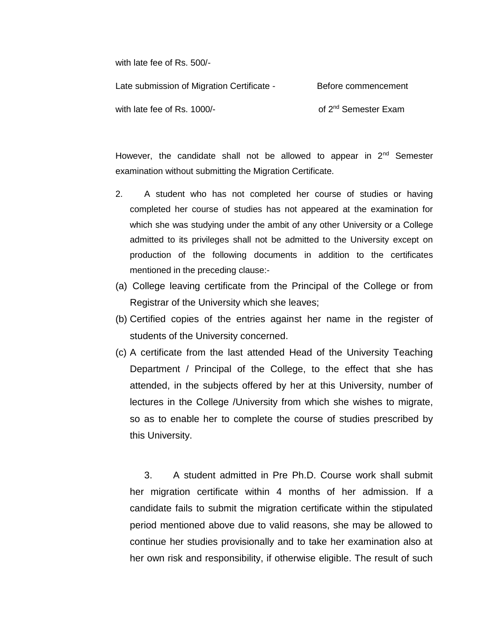with late fee of Rs. 500/-

Late submission of Migration Certificate - Before commencement with late fee of Rs. 1000/-  $\qquad \qquad$  of 2<sup>nd</sup> Semester Exam

However, the candidate shall not be allowed to appear in  $2<sup>nd</sup>$  Semester examination without submitting the Migration Certificate.

- 2. A student who has not completed her course of studies or having completed her course of studies has not appeared at the examination for which she was studying under the ambit of any other University or a College admitted to its privileges shall not be admitted to the University except on production of the following documents in addition to the certificates mentioned in the preceding clause:-
- (a) College leaving certificate from the Principal of the College or from Registrar of the University which she leaves;
- (b) Certified copies of the entries against her name in the register of students of the University concerned.
- (c) A certificate from the last attended Head of the University Teaching Department / Principal of the College, to the effect that she has attended, in the subjects offered by her at this University, number of lectures in the College /University from which she wishes to migrate, so as to enable her to complete the course of studies prescribed by this University.

3. A student admitted in Pre Ph.D. Course work shall submit her migration certificate within 4 months of her admission. If a candidate fails to submit the migration certificate within the stipulated period mentioned above due to valid reasons, she may be allowed to continue her studies provisionally and to take her examination also at her own risk and responsibility, if otherwise eligible. The result of such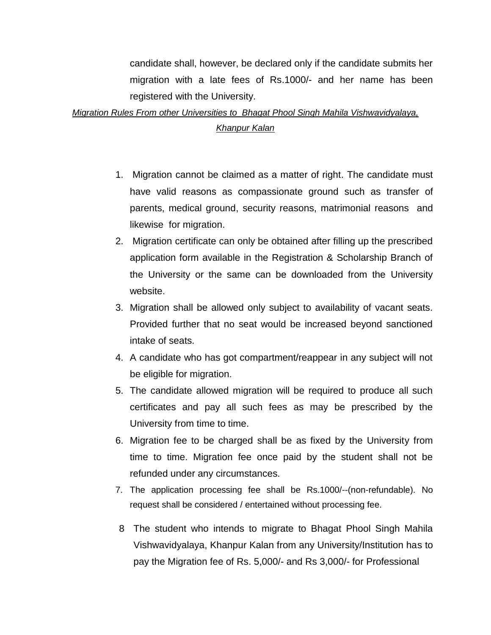candidate shall, however, be declared only if the candidate submits her migration with a late fees of Rs.1000/- and her name has been registered with the University.

# *Migration Rules From other Universities to Bhagat Phool Singh Mahila Vishwavidyalaya, Khanpur Kalan*

- 1. Migration cannot be claimed as a matter of right. The candidate must have valid reasons as compassionate ground such as transfer of parents, medical ground, security reasons, matrimonial reasons and likewise for migration.
- 2. Migration certificate can only be obtained after filling up the prescribed application form available in the Registration & Scholarship Branch of the University or the same can be downloaded from the University website.
- 3. Migration shall be allowed only subject to availability of vacant seats. Provided further that no seat would be increased beyond sanctioned intake of seats.
- 4. A candidate who has got compartment/reappear in any subject will not be eligible for migration.
- 5. The candidate allowed migration will be required to produce all such certificates and pay all such fees as may be prescribed by the University from time to time.
- 6. Migration fee to be charged shall be as fixed by the University from time to time. Migration fee once paid by the student shall not be refunded under any circumstances.
- 7. The application processing fee shall be Rs.1000/--(non-refundable). No request shall be considered / entertained without processing fee.
- 8 The student who intends to migrate to Bhagat Phool Singh Mahila Vishwavidyalaya, Khanpur Kalan from any University/Institution has to pay the Migration fee of Rs. 5,000/- and Rs 3,000/- for Professional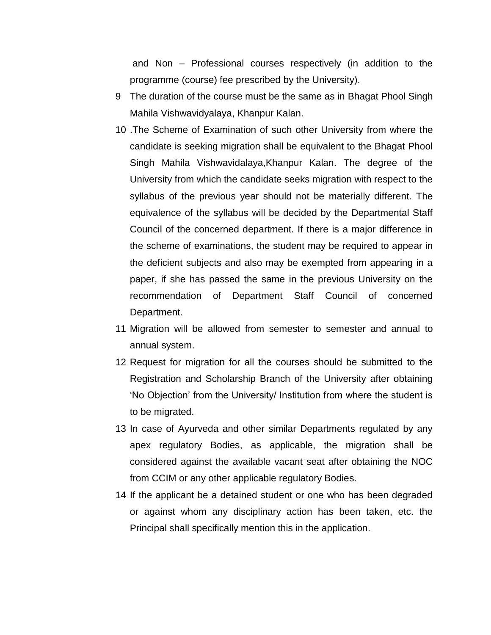and Non – Professional courses respectively (in addition to the programme (course) fee prescribed by the University).

- 9 The duration of the course must be the same as in Bhagat Phool Singh Mahila Vishwavidyalaya, Khanpur Kalan.
- 10 .The Scheme of Examination of such other University from where the candidate is seeking migration shall be equivalent to the Bhagat Phool Singh Mahila Vishwavidalaya,Khanpur Kalan. The degree of the University from which the candidate seeks migration with respect to the syllabus of the previous year should not be materially different. The equivalence of the syllabus will be decided by the Departmental Staff Council of the concerned department. If there is a major difference in the scheme of examinations, the student may be required to appear in the deficient subjects and also may be exempted from appearing in a paper, if she has passed the same in the previous University on the recommendation of Department Staff Council of concerned Department.
- 11 Migration will be allowed from semester to semester and annual to annual system.
- 12 Request for migration for all the courses should be submitted to the Registration and Scholarship Branch of the University after obtaining 'No Objection' from the University/ Institution from where the student is to be migrated.
- 13 In case of Ayurveda and other similar Departments regulated by any apex regulatory Bodies, as applicable, the migration shall be considered against the available vacant seat after obtaining the NOC from CCIM or any other applicable regulatory Bodies.
- 14 If the applicant be a detained student or one who has been degraded or against whom any disciplinary action has been taken, etc. the Principal shall specifically mention this in the application.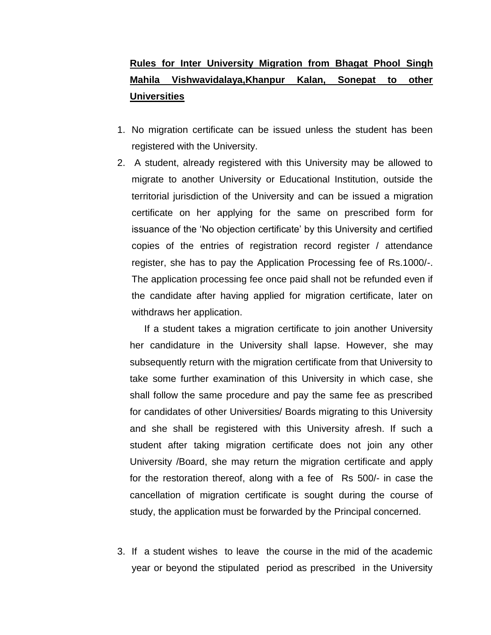# **Rules for Inter University Migration from Bhagat Phool Singh Mahila Vishwavidalaya,Khanpur Kalan, Sonepat to other Universities**

- 1. No migration certificate can be issued unless the student has been registered with the University.
- 2. A student, already registered with this University may be allowed to migrate to another University or Educational Institution, outside the territorial jurisdiction of the University and can be issued a migration certificate on her applying for the same on prescribed form for issuance of the 'No objection certificate' by this University and certified copies of the entries of registration record register / attendance register, she has to pay the Application Processing fee of Rs.1000/-. The application processing fee once paid shall not be refunded even if the candidate after having applied for migration certificate, later on withdraws her application.

If a student takes a migration certificate to join another University her candidature in the University shall lapse. However, she may subsequently return with the migration certificate from that University to take some further examination of this University in which case, she shall follow the same procedure and pay the same fee as prescribed for candidates of other Universities/ Boards migrating to this University and she shall be registered with this University afresh. If such a student after taking migration certificate does not join any other University /Board, she may return the migration certificate and apply for the restoration thereof, along with a fee of Rs 500/- in case the cancellation of migration certificate is sought during the course of study, the application must be forwarded by the Principal concerned.

3. If a student wishes to leave the course in the mid of the academic year or beyond the stipulated period as prescribed in the University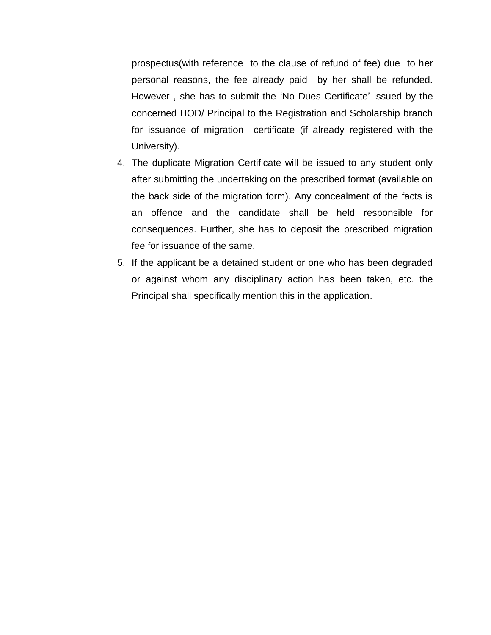prospectus(with reference to the clause of refund of fee) due to her personal reasons, the fee already paid by her shall be refunded. However , she has to submit the 'No Dues Certificate' issued by the concerned HOD/ Principal to the Registration and Scholarship branch for issuance of migration certificate (if already registered with the University).

- 4. The duplicate Migration Certificate will be issued to any student only after submitting the undertaking on the prescribed format (available on the back side of the migration form). Any concealment of the facts is an offence and the candidate shall be held responsible for consequences. Further, she has to deposit the prescribed migration fee for issuance of the same.
- 5. If the applicant be a detained student or one who has been degraded or against whom any disciplinary action has been taken, etc. the Principal shall specifically mention this in the application.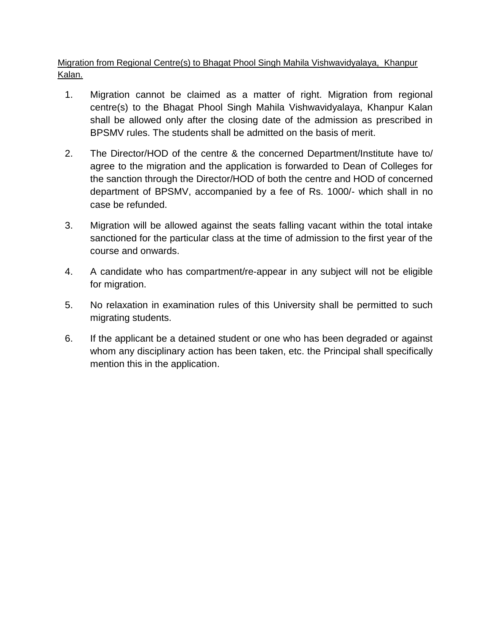Migration from Regional Centre(s) to Bhagat Phool Singh Mahila Vishwavidyalaya, Khanpur Kalan.

- 1. Migration cannot be claimed as a matter of right. Migration from regional centre(s) to the Bhagat Phool Singh Mahila Vishwavidyalaya, Khanpur Kalan shall be allowed only after the closing date of the admission as prescribed in BPSMV rules. The students shall be admitted on the basis of merit.
- 2. The Director/HOD of the centre & the concerned Department/Institute have to/ agree to the migration and the application is forwarded to Dean of Colleges for the sanction through the Director/HOD of both the centre and HOD of concerned department of BPSMV, accompanied by a fee of Rs. 1000/- which shall in no case be refunded.
- 3. Migration will be allowed against the seats falling vacant within the total intake sanctioned for the particular class at the time of admission to the first year of the course and onwards.
- 4. A candidate who has compartment/re-appear in any subject will not be eligible for migration.
- 5. No relaxation in examination rules of this University shall be permitted to such migrating students.
- 6. If the applicant be a detained student or one who has been degraded or against whom any disciplinary action has been taken, etc. the Principal shall specifically mention this in the application.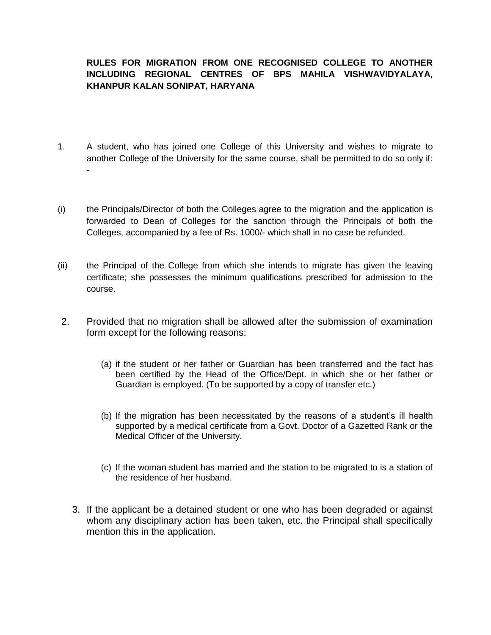### **RULES FOR MIGRATION FROM ONE RECOGNISED COLLEGE TO ANOTHER INCLUDING REGIONAL CENTRES OF BPS MAHILA VISHWAVIDYALAYA, KHANPUR KALAN SONIPAT, HARYANA**

- 1. A student, who has joined one College of this University and wishes to migrate to another College of the University for the same course, shall be permitted to do so only if: -
- (i) the Principals/Director of both the Colleges agree to the migration and the application is forwarded to Dean of Colleges for the sanction through the Principals of both the Colleges, accompanied by a fee of Rs. 1000/- which shall in no case be refunded.
- (ii) the Principal of the College from which she intends to migrate has given the leaving certificate; she possesses the minimum qualifications prescribed for admission to the course.
- 2. Provided that no migration shall be allowed after the submission of examination form except for the following reasons:
	- (a) if the student or her father or Guardian has been transferred and the fact has been certified by the Head of the Office/Dept. in which she or her father or Guardian is employed. (To be supported by a copy of transfer etc.)
	- (b) If the migration has been necessitated by the reasons of a student's ill health supported by a medical certificate from a Govt. Doctor of a Gazetted Rank or the Medical Officer of the University.
	- (c) If the woman student has married and the station to be migrated to is a station of the residence of her husband.
	- 3. If the applicant be a detained student or one who has been degraded or against whom any disciplinary action has been taken, etc. the Principal shall specifically mention this in the application.